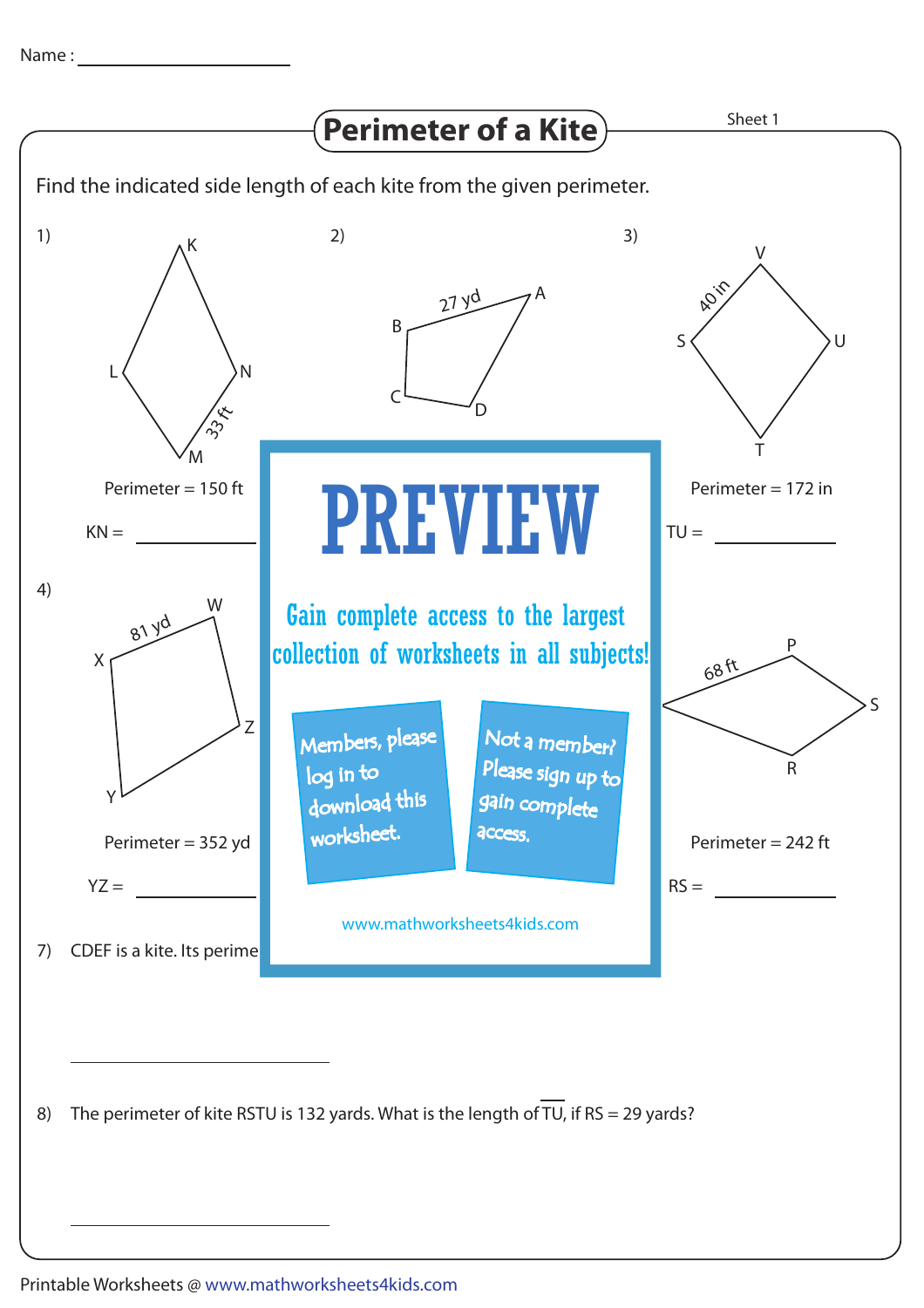